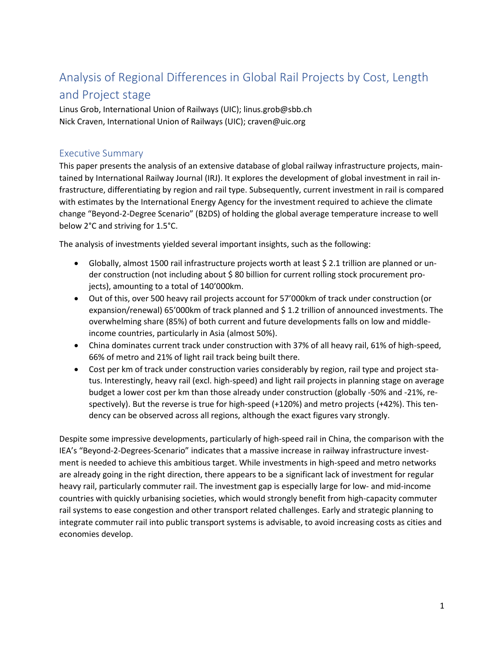## Analysis of Regional Differences in Global Rail Projects by Cost, Length and Project stage

Linus Grob, International Union of Railways (UIC); linus.grob@sbb.ch Nick Craven, International Union of Railways (UIC); craven@uic.org

## Executive Summary

This paper presents the analysis of an extensive database of global railway infrastructure projects, maintained by International Railway Journal (IRJ). It explores the development of global investment in rail infrastructure, differentiating by region and rail type. Subsequently, current investment in rail is compared with estimates by the International Energy Agency for the investment required to achieve the climate change "Beyond-2-Degree Scenario" (B2DS) of holding the global average temperature increase to well below 2°C and striving for 1.5°C.

The analysis of investments yielded several important insights, such as the following:

- Globally, almost 1500 rail infrastructure projects worth at least \$ 2.1 trillion are planned or under construction (not including about \$ 80 billion for current rolling stock procurement projects), amounting to a total of 140'000km.
- Out of this, over 500 heavy rail projects account for 57'000km of track under construction (or expansion/renewal) 65'000km of track planned and \$1.2 trillion of announced investments. The overwhelming share (85%) of both current and future developments falls on low and middleincome countries, particularly in Asia (almost 50%).
- China dominates current track under construction with 37% of all heavy rail, 61% of high-speed, 66% of metro and 21% of light rail track being built there.
- Cost per km of track under construction varies considerably by region, rail type and project status. Interestingly, heavy rail (excl. high-speed) and light rail projects in planning stage on average budget a lower cost per km than those already under construction (globally -50% and -21%, respectively). But the reverse is true for high-speed (+120%) and metro projects (+42%). This tendency can be observed across all regions, although the exact figures vary strongly.

Despite some impressive developments, particularly of high-speed rail in China, the comparison with the IEA's "Beyond-2-Degrees-Scenario" indicates that a massive increase in railway infrastructure investment is needed to achieve this ambitious target. While investments in high-speed and metro networks are already going in the right direction, there appears to be a significant lack of investment for regular heavy rail, particularly commuter rail. The investment gap is especially large for low- and mid-income countries with quickly urbanising societies, which would strongly benefit from high-capacity commuter rail systems to ease congestion and other transport related challenges. Early and strategic planning to integrate commuter rail into public transport systems is advisable, to avoid increasing costs as cities and economies develop.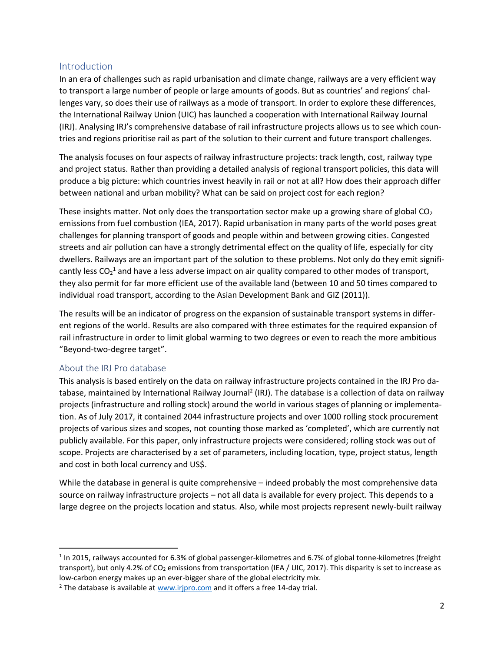## Introduction

In an era of challenges such as rapid urbanisation and climate change, railways are a very efficient way to transport a large number of people or large amounts of goods. But as countries' and regions' challenges vary, so does their use of railways as a mode of transport. In order to explore these differences, the International Railway Union (UIC) has launched a cooperation with International Railway Journal (IRJ). Analysing IRJ's comprehensive database of rail infrastructure projects allows us to see which countries and regions prioritise rail as part of the solution to their current and future transport challenges.

The analysis focuses on four aspects of railway infrastructure projects: track length, cost, railway type and project status. Rather than providing a detailed analysis of regional transport policies, this data will produce a big picture: which countries invest heavily in rail or not at all? How does their approach differ between national and urban mobility? What can be said on project cost for each region?

These insights matter. Not only does the transportation sector make up a growing share of global  $CO<sub>2</sub>$ emissions from fuel combustion (IEA, 2017). Rapid urbanisation in many parts of the world poses great challenges for planning transport of goods and people within and between growing cities. Congested streets and air pollution can have a strongly detrimental effect on the quality of life, especially for city dwellers. Railways are an important part of the solution to these problems. Not only do they emit significantly less CO<sub>2</sub><sup>1</sup> and have a less adverse impact on air quality compared to other modes of transport, they also permit for far more efficient use of the available land (between 10 and 50 times compared to individual road transport, according to the Asian Development Bank and GIZ (2011)).

The results will be an indicator of progress on the expansion of sustainable transport systems in different regions of the world. Results are also compared with three estimates for the required expansion of rail infrastructure in order to limit global warming to two degrees or even to reach the more ambitious "Beyond-two-degree target".

### About the IRJ Pro database

 $\overline{\phantom{a}}$ 

This analysis is based entirely on the data on railway infrastructure projects contained in the IRJ Pro database, maintained by International Railway Journal<sup>2</sup> (IRJ). The database is a collection of data on railway projects (infrastructure and rolling stock) around the world in various stages of planning or implementation. As of July 2017, it contained 2044 infrastructure projects and over 1000 rolling stock procurement projects of various sizes and scopes, not counting those marked as 'completed', which are currently not publicly available. For this paper, only infrastructure projects were considered; rolling stock was out of scope. Projects are characterised by a set of parameters, including location, type, project status, length and cost in both local currency and US\$.

While the database in general is quite comprehensive – indeed probably the most comprehensive data source on railway infrastructure projects – not all data is available for every project. This depends to a large degree on the projects location and status. Also, while most projects represent newly-built railway

 $1$  In 2015, railways accounted for 6.3% of global passenger-kilometres and 6.7% of global tonne-kilometres (freight transport), but only 4.2% of  $CO<sub>2</sub>$  emissions from transportation (IEA / UIC, 2017). This disparity is set to increase as low-carbon energy makes up an ever-bigger share of the global electricity mix.

<sup>&</sup>lt;sup>2</sup> The database is available at [www.irjpro.com](http://www.irjpro.com/) and it offers a free 14-day trial.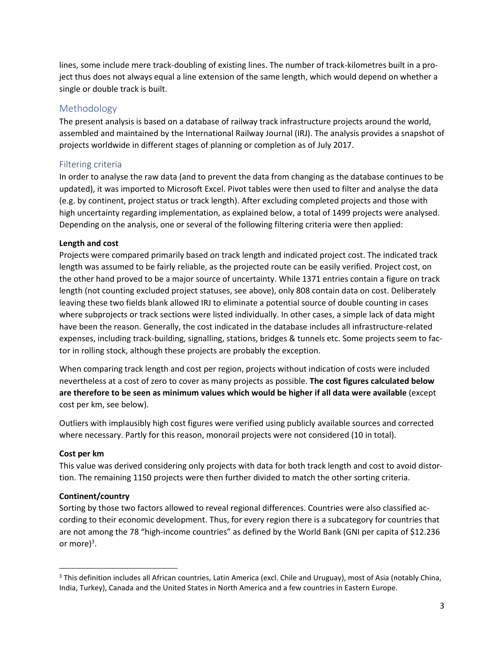lines, some include mere track-doubling of existing lines. The number of track-kilometres built in a project thus does not always equal a line extension of the same length, which would depend on whether a single or double track is built.

## Methodology

The present analysis is based on a database of railway track infrastructure projects around the world, assembled and maintained by the International Railway Journal (IRJ). The analysis provides a snapshot of projects worldwide in different stages of planning or completion as of July 2017.

## Filtering criteria

In order to analyse the raw data (and to prevent the data from changing as the database continues to be updated), it was imported to Microsoft Excel. Pivot tables were then used to filter and analyse the data (e.g. by continent, project status or track length). After excluding completed projects and those with high uncertainty regarding implementation, as explained below, a total of 1499 projects were analysed. Depending on the analysis, one or several of the following filtering criteria were then applied:

### **Length and cost**

Projects were compared primarily based on track length and indicated project cost. The indicated track length was assumed to be fairly reliable, as the projected route can be easily verified. Project cost, on the other hand proved to be a major source of uncertainty. While 1371 entries contain a figure on track length (not counting excluded project statuses, see above), only 808 contain data on cost. Deliberately leaving these two fields blank allowed IRJ to eliminate a potential source of double counting in cases where subprojects or track sections were listed individually. In other cases, a simple lack of data might have been the reason. Generally, the cost indicated in the database includes all infrastructure-related expenses, including track-building, signalling, stations, bridges & tunnels etc. Some projects seem to factor in rolling stock, although these projects are probably the exception.

When comparing track length and cost per region, projects without indication of costs were included nevertheless at a cost of zero to cover as many projects as possible. **The cost figures calculated below are therefore to be seen as minimum values which would be higher if all data were available** (except cost per km, see below).

Outliers with implausibly high cost figures were verified using publicly available sources and corrected where necessary. Partly for this reason, monorail projects were not considered (10 in total).

#### **Cost per km**

 $\overline{\phantom{a}}$ 

This value was derived considering only projects with data for both track length and cost to avoid distortion. The remaining 1150 projects were then further divided to match the other sorting criteria.

### **Continent/country**

Sorting by those two factors allowed to reveal regional differences. Countries were also classified according to their economic development. Thus, for every region there is a subcategory for countries that are not among the 78 "high-income countries" as defined by the World Bank (GNI per capita of \$12.236 or more) $^3$ .

<sup>&</sup>lt;sup>3</sup> This definition includes all African countries, Latin America (excl. Chile and Uruguay), most of Asia (notably China, India, Turkey), Canada and the United States in North America and a few countries in Eastern Europe.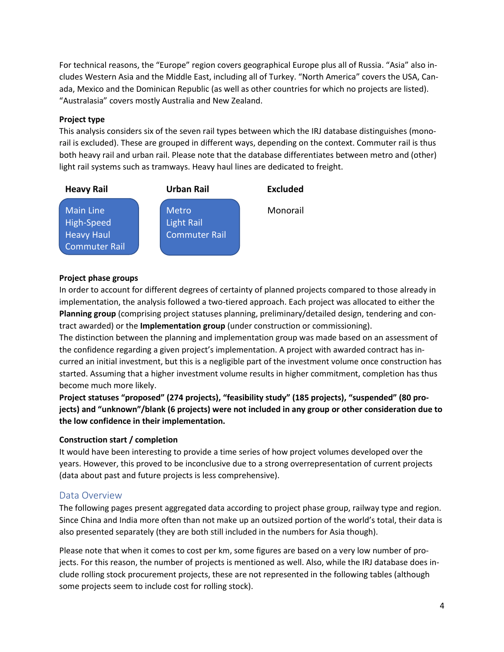For technical reasons, the "Europe" region covers geographical Europe plus all of Russia. "Asia" also includes Western Asia and the Middle East, including all of Turkey. "North America" covers the USA, Canada, Mexico and the Dominican Republic (as well as other countries for which no projects are listed). "Australasia" covers mostly Australia and New Zealand.

#### **Project type**

This analysis considers six of the seven rail types between which the IRJ database distinguishes (monorail is excluded). These are grouped in different ways, depending on the context. Commuter rail is thus both heavy rail and urban rail. Please note that the database differentiates between metro and (other) light rail systems such as tramways. Heavy haul lines are dedicated to freight.



#### **Project phase groups**

In order to account for different degrees of certainty of planned projects compared to those already in implementation, the analysis followed a two-tiered approach. Each project was allocated to either the **Planning group** (comprising project statuses planning, preliminary/detailed design, tendering and contract awarded) or the **Implementation group** (under construction or commissioning).

The distinction between the planning and implementation group was made based on an assessment of the confidence regarding a given project's implementation. A project with awarded contract has incurred an initial investment, but this is a negligible part of the investment volume once construction has started. Assuming that a higher investment volume results in higher commitment, completion has thus become much more likely.

**Project statuses "proposed" (274 projects), "feasibility study" (185 projects), "suspended" (80 projects) and "unknown"/blank (6 projects) were not included in any group or other consideration due to the low confidence in their implementation.**

### **Construction start / completion**

It would have been interesting to provide a time series of how project volumes developed over the years. However, this proved to be inconclusive due to a strong overrepresentation of current projects (data about past and future projects is less comprehensive).

### Data Overview

The following pages present aggregated data according to project phase group, railway type and region. Since China and India more often than not make up an outsized portion of the world's total, their data is also presented separately (they are both still included in the numbers for Asia though).

Please note that when it comes to cost per km, some figures are based on a very low number of projects. For this reason, the number of projects is mentioned as well. Also, while the IRJ database does include rolling stock procurement projects, these are not represented in the following tables (although some projects seem to include cost for rolling stock).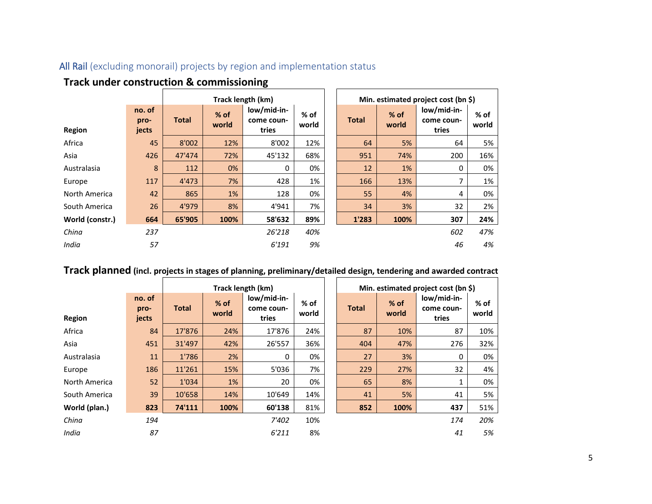## All Rail (excluding monorail) projects by region and implementation status

|                 |                         |              |                 | Track length (km)                  |               |              |                 | Min. estimated project cost (bn \$) |                 |
|-----------------|-------------------------|--------------|-----------------|------------------------------------|---------------|--------------|-----------------|-------------------------------------|-----------------|
| Region          | no. of<br>pro-<br>jects | <b>Total</b> | $%$ of<br>world | low/mid-in-<br>come coun-<br>tries | % of<br>world | <b>Total</b> | $%$ of<br>world | low/mid-in-<br>come coun-<br>tries  | $%$ of<br>world |
| Africa          | 45                      | 8'002        | 12%             | 8'002                              | 12%           | 64           | 5%              | 64                                  | 5%              |
| Asia            | 426                     | 47'474       | 72%             | 45'132                             | 68%           | 951          | 74%             | 200                                 | 16%             |
| Australasia     | 8                       | 112          | 0%              | 0                                  | 0%            | 12           | 1%              | 0                                   | 0%              |
| Europe          | 117                     | 4'473        | 7%              | 428                                | 1%            | 166          | 13%             | 7                                   | 1%              |
| North America   | 42                      | 865          | 1%              | 128                                | 0%            | 55           | 4%              | 4                                   | 0%              |
| South America   | 26                      | 4'979        | 8%              | 4'941                              | 7%            | 34           | 3%              | 32                                  | 2%              |
| World (constr.) | 664                     | 65'905       | 100%            | 58'632                             | 89%           | 1'283        | 100%            | 307                                 | 24%             |
| China           | 237                     |              |                 | 26'218                             | 40%           |              |                 | 602                                 | 47%             |
| India           | 57                      |              |                 | 6'191                              | 9%            |              |                 | 46                                  | 4%              |

 $\blacksquare$ 

# **Track under construction & commissioning**

# **Track planned** (incl. projects in stages of planning, preliminary/detailed design, tendering and awarded contract

|               |                         |              |                 | Track length (km)                  |                 |              |                 | Min. estimated project cost (bn \$) |                 |
|---------------|-------------------------|--------------|-----------------|------------------------------------|-----------------|--------------|-----------------|-------------------------------------|-----------------|
| <b>Region</b> | no. of<br>pro-<br>jects | <b>Total</b> | $%$ of<br>world | low/mid-in-<br>come coun-<br>tries | $%$ of<br>world | <b>Total</b> | $%$ of<br>world | low/mid-in-<br>come coun-<br>tries  | $%$ of<br>world |
| Africa        | 84                      | 17'876       | 24%             | 17'876                             | 24%             | 87           | 10%             | 87                                  | 10%             |
| Asia          | 451                     | 31'497       | 42%             | 26'557                             | 36%             | 404          | 47%             | 276                                 | 32%             |
| Australasia   | 11                      | 1'786        | 2%              | 0                                  | 0%              | 27           | 3%              | 0                                   | 0%              |
| Europe        | 186                     | 11'261       | 15%             | 5'036                              | 7%              | 229          | 27%             | 32                                  | 4%              |
| North America | 52                      | 1'034        | 1%              | 20                                 | 0%              | 65           | 8%              | 1                                   | 0%              |
| South America | 39                      | 10'658       | 14%             | 10'649                             | 14%             | 41           | 5%              | 41                                  | 5%              |
| World (plan.) | 823                     | 74'111       | 100%            | 60'138                             | 81%             | 852          | 100%            | 437                                 | 51%             |
| China         | 194                     |              |                 | 7'402                              | 10%             |              |                 | 174                                 | 20%             |
| India         | 87                      |              |                 | 6'211                              | 8%              |              |                 | 41                                  | 5%              |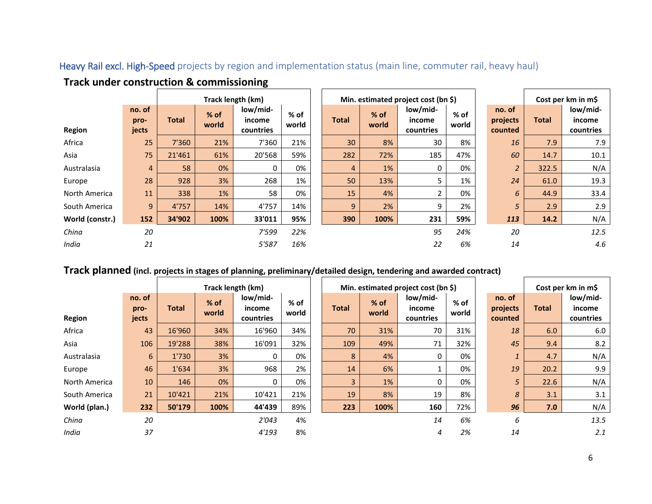## Heavy Rail excl. High-Speed projects by region and implementation status (main line, commuter rail, heavy haul)

 $\blacksquare$ 

|                 |                         |              |                 | Track length (km)               |               |              |                 | Min. estimated project cost (bn \$) |               |                               |              | Cost per km in m\$              |
|-----------------|-------------------------|--------------|-----------------|---------------------------------|---------------|--------------|-----------------|-------------------------------------|---------------|-------------------------------|--------------|---------------------------------|
| <b>Region</b>   | no. of<br>pro-<br>jects | <b>Total</b> | $%$ of<br>world | low/mid-<br>income<br>countries | % of<br>world | <b>Total</b> | $%$ of<br>world | low/mid-<br>income<br>countries     | % of<br>world | no. of<br>projects<br>counted | <b>Total</b> | low/mid-<br>income<br>countries |
| Africa          | 25                      | 7'360        | 21%             | 7'360                           | 21%           | 30           | 8%              | 30                                  | 8%            | 16                            | 7.9          | 7.9                             |
| Asia            | 75                      | 21'461       | 61%             | 20'568                          | 59%           | 282          | 72%             | 185                                 | 47%           | 60                            | 14.7         | 10.1                            |
| Australasia     | $\overline{4}$          | 58           | 0%              | 0                               | 0%            | 4            | 1%              | 0                                   | 0%            | $\overline{a}$                | 322.5        | N/A                             |
| Europe          | 28                      | 928          | 3%              | 268                             | 1%            | 50           | 13%             | 5                                   | 1%            | 24                            | 61.0         | 19.3                            |
| North America   | 11                      | 338          | 1%              | 58                              | 0%            | 15           | 4%              | 2                                   | 0%            | 6                             | 44.9         | 33.4                            |
| South America   | 9                       | 4'757        | 14%             | 4'757                           | 14%           | 9            | 2%              | 9                                   | 2%            | 5                             | 2.9          | 2.9                             |
| World (constr.) | 152                     | 34'902       | 100%            | 33'011                          | 95%           | 390          | 100%            | 231                                 | 59%           | 113                           | 14.2         | N/A                             |
| China           | 20                      |              |                 | 7'599                           | 22%           |              |                 | 95                                  | 24%           | 20                            |              | 12.5                            |
| India           | 21                      |              |                 | 5'587                           | 16%           |              |                 | 22                                  | 6%            | 14                            |              | 4.6                             |

## **Track under construction & commissioning**

## **Track planned** (incl. projects in stages of planning, preliminary/detailed design, tendering and awarded contract)

|               |                         |              |               | Track length (km)               |               |              |               | Min. estimated project cost (bn $\zeta$ ) |               |                               |              | Cost per km in m\$              |
|---------------|-------------------------|--------------|---------------|---------------------------------|---------------|--------------|---------------|-------------------------------------------|---------------|-------------------------------|--------------|---------------------------------|
| Region        | no. of<br>pro-<br>jects | <b>Total</b> | % of<br>world | low/mid-<br>income<br>countries | % of<br>world | <b>Total</b> | % of<br>world | low/mid-<br>income<br>countries           | % of<br>world | no. of<br>projects<br>counted | <b>Total</b> | low/mid-<br>income<br>countries |
| Africa        | 43                      | 16'960       | 34%           | 16'960                          | 34%           | 70           | 31%           | 70                                        | 31%           | 18                            | 6.0          | 6.0                             |
| Asia          | 106                     | 19'288       | 38%           | 16'091                          | 32%           | 109          | 49%           | 71                                        | 32%           | 45                            | 9.4          | 8.2                             |
| Australasia   | 6                       | 1'730        | 3%            | 0                               | 0%            | 8            | 4%            | 0                                         | 0%            | $\mathbf{1}$                  | 4.7          | N/A                             |
| Europe        | 46                      | 1'634        | 3%            | 968                             | 2%            | 14           | 6%            |                                           | 0%            | 19                            | 20.2         | 9.9                             |
| North America | 10                      | 146          | 0%            | 0                               | 0%            | 3            | 1%            | 0                                         | 0%            | 5                             | 22.6         | N/A                             |
| South America | 21                      | 10'421       | 21%           | 10'421                          | 21%           | 19           | 8%            | 19                                        | 8%            | $\overline{8}$                | 3.1          | 3.1                             |
| World (plan.) | 232                     | 50'179       | 100%          | 44'439                          | 89%           | 223          | 100%          | 160                                       | 72%           | 96                            | 7.0          | N/A                             |
| China         | 20                      |              |               | 2'043                           | 4%            |              |               | 14                                        | 6%            | 6                             |              | 13.5                            |
| India         | 37                      |              |               | 4'193                           | 8%            |              |               | 4                                         | 2%            | 14                            |              | 2.1                             |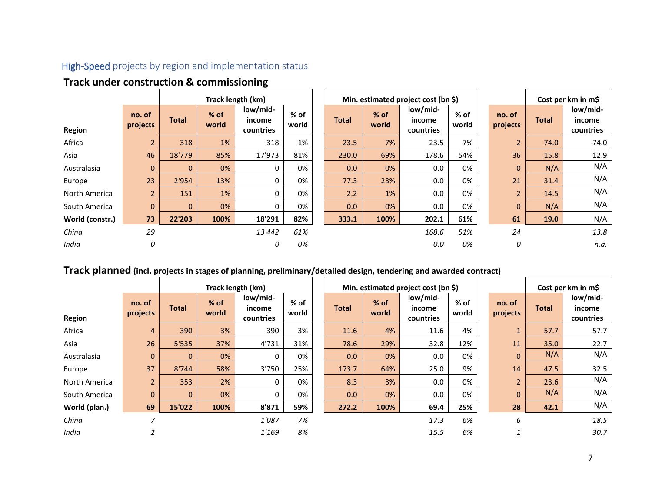## High-Speed projects by region and implementation status

|                 |                    |              |                 | Track length (km)               |               |       |                 | Min. estimated project cost (bn \$) |                 |                    |              | Cost per km in m\$              |
|-----------------|--------------------|--------------|-----------------|---------------------------------|---------------|-------|-----------------|-------------------------------------|-----------------|--------------------|--------------|---------------------------------|
| Region          | no. of<br>projects | <b>Total</b> | $%$ of<br>world | low/mid-<br>income<br>countries | % of<br>world | Total | $%$ of<br>world | low/mid-<br>income<br>countries     | $%$ of<br>world | no. of<br>projects | <b>Total</b> | low/mid-<br>income<br>countries |
| Africa          | $\overline{2}$     | 318          | 1%              | 318                             | 1%            | 23.5  | 7%              | 23.5                                | 7%              | $\overline{2}$     | 74.0         | 74.0                            |
| Asia            | 46                 | 18'779       | 85%             | 17'973                          | 81%           | 230.0 | 69%             | 178.6                               | 54%             | 36                 | 15.8         | 12.9                            |
| Australasia     | $\mathbf{0}$       | 0            | 0%              | 0                               | 0%            | 0.0   | 0%              | 0.0                                 | 0%              | $\mathbf 0$        | N/A          | N/A                             |
| Europe          | 23                 | 2'954        | 13%             | 0                               | 0%            | 77.3  | 23%             | 0.0                                 | 0%              | 21                 | 31.4         | N/A                             |
| North America   | $\overline{2}$     | 151          | 1%              | 0                               | 0%            | 2.2   | 1%              | 0.0                                 | 0%              | $\overline{2}$     | 14.5         | N/A                             |
| South America   | $\mathbf{0}$       | $\mathbf{0}$ | 0%              | 0                               | 0%            | 0.0   | 0%              | 0.0                                 | 0%              | $\mathbf{0}$       | N/A          | N/A                             |
| World (constr.) | 73                 | 22'203       | 100%            | 18'291                          | 82%           | 333.1 | 100%            | 202.1                               | 61%             | 61                 | 19.0         | N/A                             |
| China           | 29                 |              |                 | 13'442                          | 61%           |       |                 | 168.6                               | 51%             | 24                 |              | 13.8                            |
| India           | 0                  |              |                 | 0                               | 0%            |       |                 | 0.0                                 | 0%              | 0                  |              | n.a.                            |

## **Track under construction & commissioning**

## **Track planned** (incl. projects in stages of planning, preliminary/detailed design, tendering and awarded contract)

|               |                    |              |                 | Track length (km)               |                 |              |                 | Min. estimated project cost (bn \$) |               |                    |              | Cost per km in m\$              |
|---------------|--------------------|--------------|-----------------|---------------------------------|-----------------|--------------|-----------------|-------------------------------------|---------------|--------------------|--------------|---------------------------------|
| Region        | no. of<br>projects | <b>Total</b> | $%$ of<br>world | low/mid-<br>income<br>countries | $%$ of<br>world | <b>Total</b> | $%$ of<br>world | low/mid-<br>income<br>countries     | % of<br>world | no. of<br>projects | <b>Total</b> | low/mid-<br>income<br>countries |
| Africa        | $\overline{4}$     | 390          | 3%              | 390                             | 3%              | 11.6         | 4%              | 11.6                                | 4%            | $\mathbf{1}$       | 57.7         | 57.7                            |
| Asia          | 26                 | 5'535        | 37%             | 4'731                           | 31%             | 78.6         | 29%             | 32.8                                | 12%           | 11                 | 35.0         | 22.7                            |
| Australasia   | $\mathbf{0}$       | 0            | 0%              | 0                               | 0%              | 0.0          | 0%              | 0.0                                 | 0%            | $\mathbf{0}$       | N/A          | N/A                             |
| Europe        | 37                 | 8'744        | 58%             | 3'750                           | 25%             | 173.7        | 64%             | 25.0                                | 9%            | 14                 | 47.5         | 32.5                            |
| North America | $\overline{2}$     | 353          | 2%              | 0                               | 0%              | 8.3          | 3%              | $0.0\,$                             | 0%            | $\overline{2}$     | 23.6         | N/A                             |
| South America | $\mathbf{0}$       | $\Omega$     | 0%              | $\Omega$                        | 0%              | 0.0          | 0%              | 0.0                                 | 0%            | $\mathbf{0}$       | N/A          | N/A                             |
| World (plan.) | 69                 | 15'022       | 100%            | 8'871                           | 59%             | 272.2        | 100%            | 69.4                                | 25%           | 28                 | 42.1         | N/A                             |
| China         | ⇁                  |              |                 | 1'087                           | 7%              |              |                 | 17.3                                | 6%            | 6                  |              | 18.5                            |
| India         |                    |              |                 | 1'169                           | 8%              |              |                 | 15.5                                | 6%            |                    |              | 30.7                            |

 $\Gamma$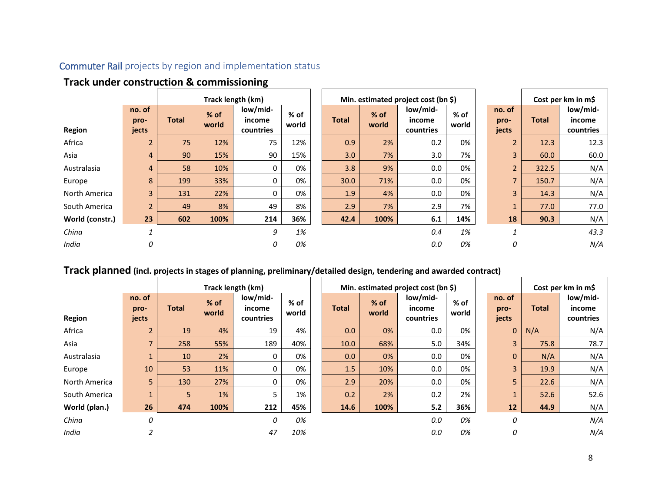## Commuter Rail projects by region and implementation status

|                 | Track under construction & commissioning |              |                 |                                 |               |  |              |                 |                                     |               |  |                         |              |                                 |
|-----------------|------------------------------------------|--------------|-----------------|---------------------------------|---------------|--|--------------|-----------------|-------------------------------------|---------------|--|-------------------------|--------------|---------------------------------|
|                 |                                          |              |                 | Track length (km)               |               |  |              |                 | Min. estimated project cost (bn \$) |               |  |                         |              | Cost per km in m\$              |
| <b>Region</b>   | no. of<br>pro-<br>jects                  | <b>Total</b> | $%$ of<br>world | low/mid-<br>income<br>countries | % of<br>world |  | <b>Total</b> | $%$ of<br>world | low/mid-<br>income<br>countries     | % of<br>world |  | no. of<br>pro-<br>jects | <b>Total</b> | low/mid-<br>income<br>countries |
| Africa          | $\overline{2}$                           | 75           | 12%             | 75                              | 12%           |  | 0.9          | 2%              | 0.2                                 | 0%            |  | $\overline{2}$          | 12.3         | 12.3                            |
| Asia            | $\overline{4}$                           | 90           | 15%             | 90                              | 15%           |  | 3.0          | 7%              | 3.0                                 | 7%            |  | $\overline{3}$          | 60.0         | 60.0                            |
| Australasia     | $\overline{4}$                           | 58           | 10%             | $\Omega$                        | 0%            |  | 3.8          | 9%              | 0.0                                 | 0%            |  | $\overline{2}$          | 322.5        | N/A                             |
| Europe          | 8                                        | 199          | 33%             | $\Omega$                        | 0%            |  | 30.0         | 71%             | 0.0                                 | 0%            |  | $\overline{7}$          | 150.7        | N/A                             |
| North America   | $\overline{3}$                           | 131          | 22%             | 0                               | 0%            |  | 1.9          | 4%              | 0.0                                 | 0%            |  | $\overline{3}$          | 14.3         | N/A                             |
| South America   | $\overline{2}$                           | 49           | 8%              | 49                              | 8%            |  | 2.9          | 7%              | 2.9                                 | 7%            |  | $\mathbf{1}$            | 77.0         | 77.0                            |
| World (constr.) | 23                                       | 602          | 100%            | 214                             | 36%           |  | 42.4         | 100%            | 6.1                                 | 14%           |  | 18                      | 90.3         | N/A                             |
| China           | $\mathbf{1}$                             |              |                 | 9                               | 1%            |  |              |                 | 0.4                                 | 1%            |  | $\mathbf{1}$            |              | 43.3                            |
| India           | 0                                        |              |                 | 0                               | 0%            |  |              |                 | 0.0                                 | 0%            |  | 0                       |              | N/A                             |

## **Track under construction & commissioning**

## **Track planned (incl. projects in stages of planning, preliminary/detailed design, tendering and awarded contract)**

|               |                         |              |                 | Track length (km)               |               |              |                 | Min. estimated project cost (bn $\zeta$ ) |               |                         |              | Cost per km in m\$              |
|---------------|-------------------------|--------------|-----------------|---------------------------------|---------------|--------------|-----------------|-------------------------------------------|---------------|-------------------------|--------------|---------------------------------|
| Region        | no. of<br>pro-<br>jects | <b>Total</b> | $%$ of<br>world | low/mid-<br>income<br>countries | % of<br>world | <b>Total</b> | $%$ of<br>world | low/mid-<br>income<br>countries           | % of<br>world | no. of<br>pro-<br>jects | <b>Total</b> | low/mid-<br>income<br>countries |
| Africa        | $\overline{2}$          | 19           | 4%              | 19                              | 4%            | 0.0          | 0%              | 0.0                                       | 0%            | $\mathbf{0}$            | N/A          | N/A                             |
| Asia          | $\overline{7}$          | 258          | 55%             | 189                             | 40%           | 10.0         | 68%             | 5.0                                       | 34%           | $\overline{3}$          | 75.8         | 78.7                            |
| Australasia   | $\mathbf{1}$            | 10           | 2%              | 0                               | 0%            | 0.0          | 0%              | 0.0                                       | 0%            | $\mathbf{0}$            | N/A          | N/A                             |
| Europe        | 10                      | 53           | 11%             | $\Omega$                        | 0%            | 1.5          | 10%             | 0.0                                       | 0%            | $\overline{3}$          | 19.9         | N/A                             |
| North America | 5                       | 130          | 27%             | 0                               | 0%            | 2.9          | 20%             | 0.0                                       | 0%            | 5                       | 22.6         | N/A                             |
| South America | $\mathbf{1}$            | 5            | 1%              |                                 | 1%            | 0.2          | 2%              | 0.2                                       | 2%            | $\mathbf{1}$            | 52.6         | 52.6                            |
| World (plan.) | 26                      | 474          | 100%            | 212                             | 45%           | 14.6         | 100%            | 5.2                                       | 36%           | 12                      | 44.9         | N/A                             |
| China         | 0                       |              |                 | 0                               | 0%            |              |                 | 0.0                                       | 0%            | 0                       |              | N/A                             |
| India         |                         |              |                 | 47                              | 10%           |              |                 | 0.0                                       | 0%            | 0                       |              | N/A                             |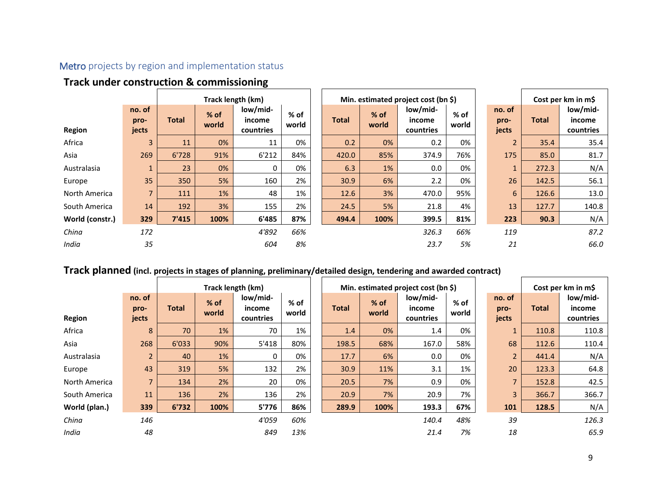## Metro projects by region and implementation status

|                 |                         |              |                 | Track length (km)               |                 |       |                 | Min. estimated project cost (bn \$) |               |                         |              | Cost per km in m\$              |
|-----------------|-------------------------|--------------|-----------------|---------------------------------|-----------------|-------|-----------------|-------------------------------------|---------------|-------------------------|--------------|---------------------------------|
| <b>Region</b>   | no. of<br>pro-<br>jects | <b>Total</b> | $%$ of<br>world | low/mid-<br>income<br>countries | $%$ of<br>world | Total | $%$ of<br>world | low/mid-<br>income<br>countries     | % of<br>world | no. of<br>pro-<br>jects | <b>Total</b> | low/mid-<br>income<br>countries |
| Africa          | 3                       | 11           | 0%              | 11                              | 0%              | 0.2   | 0%              | 0.2                                 | 0%            | $\overline{2}$          | 35.4         | 35.4                            |
| Asia            | 269                     | 6'728        | 91%             | 6'212                           | 84%             | 420.0 | 85%             | 374.9                               | 76%           | 175                     | 85.0         | 81.7                            |
| Australasia     | $\mathbf{1}$            | 23           | 0%              | 0                               | 0%              | 6.3   | 1%              | 0.0                                 | 0%            | $\mathbf{1}$            | 272.3        | N/A                             |
| Europe          | 35                      | 350          | 5%              | 160                             | 2%              | 30.9  | 6%              | 2.2                                 | 0%            | 26                      | 142.5        | 56.1                            |
| North America   | $\overline{7}$          | 111          | 1%              | 48                              | 1%              | 12.6  | 3%              | 470.0                               | 95%           | 6                       | 126.6        | 13.0                            |
| South America   | 14                      | 192          | 3%              | 155                             | 2%              | 24.5  | 5%              | 21.8                                | 4%            | 13                      | 127.7        | 140.8                           |
| World (constr.) | 329                     | 7'415        | 100%            | 6'485                           | 87%             | 494.4 | 100%            | 399.5                               | 81%           | 223                     | 90.3         | N/A                             |
| China           | 172                     |              |                 | 4'892                           | 66%             |       |                 | 326.3                               | 66%           | 119                     |              | 87.2                            |
| India           | 35                      |              |                 | 604                             | 8%              |       |                 | 23.7                                | 5%            | 21                      |              | 66.0                            |

## **Track under construction & commissioning**

## **Track planned (incl. projects in stages of planning, preliminary/detailed design, tendering and awarded contract)**

|               |                         |              |                 | Track length (km)               |               |              |                 | Min. estimated project cost (bn \$) |               |                         |              | Cost per km in m\$              |
|---------------|-------------------------|--------------|-----------------|---------------------------------|---------------|--------------|-----------------|-------------------------------------|---------------|-------------------------|--------------|---------------------------------|
| Region        | no. of<br>pro-<br>jects | <b>Total</b> | $%$ of<br>world | low/mid-<br>income<br>countries | % of<br>world | <b>Total</b> | $%$ of<br>world | low/mid-<br>income<br>countries     | % of<br>world | no. of<br>pro-<br>jects | <b>Total</b> | low/mid-<br>income<br>countries |
| Africa        | 8                       | 70           | 1%              | 70                              | 1%            | 1.4          | 0%              | 1.4                                 | 0%            | $\mathbf{1}$            | 110.8        | 110.8                           |
| Asia          | 268                     | 6'033        | 90%             | 5'418                           | 80%           | 198.5        | 68%             | 167.0                               | 58%           | 68                      | 112.6        | 110.4                           |
| Australasia   | $\overline{2}$          | 40           | $1\%$           | 0                               | 0%            | 17.7         | 6%              | 0.0                                 | 0%            | $\overline{2}$          | 441.4        | N/A                             |
| Europe        | 43                      | 319          | 5%              | 132                             | 2%            | 30.9         | 11%             | 3.1                                 | 1%            | 20                      | 123.3        | 64.8                            |
| North America | $\overline{7}$          | 134          | 2%              | 20                              | 0%            | 20.5         | 7%              | 0.9                                 | 0%            | $\overline{7}$          | 152.8        | 42.5                            |
| South America | 11                      | 136          | 2%              | 136                             | 2%            | 20.9         | 7%              | 20.9                                | 7%            | 3                       | 366.7        | 366.7                           |
| World (plan.) | 339                     | 6'732        | 100%            | 5'776                           | 86%           | 289.9        | 100%            | 193.3                               | 67%           | 101                     | 128.5        | N/A                             |
| China         | 146                     |              |                 | 4'059                           | 60%           |              |                 | 140.4                               | 48%           | 39                      |              | 126.3                           |
| India         | 48                      |              |                 | 849                             | 13%           |              |                 | 21.4                                | 7%            | 18                      |              | 65.9                            |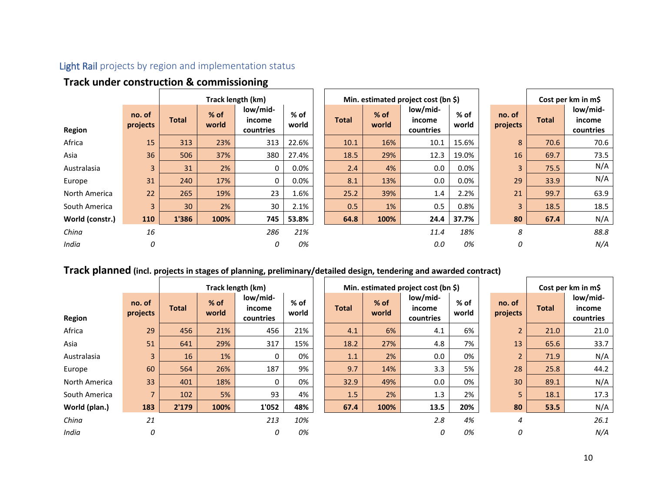## Light Rail projects by region and implementation status

|                 | <b>Track under construction &amp; commissioning</b> |              |                 |                                 |                 |  |              |                 |                                     |                 |  |                    |              |                                 |
|-----------------|-----------------------------------------------------|--------------|-----------------|---------------------------------|-----------------|--|--------------|-----------------|-------------------------------------|-----------------|--|--------------------|--------------|---------------------------------|
|                 |                                                     |              |                 | Track length (km)               |                 |  |              |                 | Min. estimated project cost (bn \$) |                 |  |                    |              | Cost per km in m\$              |
| Region          | no. of<br>projects                                  | <b>Total</b> | $%$ of<br>world | low/mid-<br>income<br>countries | $%$ of<br>world |  | <b>Total</b> | $%$ of<br>world | low/mid-<br>income<br>countries     | $%$ of<br>world |  | no. of<br>projects | <b>Total</b> | low/mid-<br>income<br>countries |
| Africa          | 15                                                  | 313          | 23%             | 313                             | 22.6%           |  | 10.1         | 16%             | 10.1                                | 15.6%           |  | 8                  | 70.6         | 70.6                            |
| Asia            | 36                                                  | 506          | 37%             | 380                             | 27.4%           |  | 18.5         | 29%             | 12.3                                | 19.0%           |  | 16                 | 69.7         | 73.5                            |
| Australasia     | 3                                                   | 31           | 2%              | 0                               | 0.0%            |  | 2.4          | 4%              | 0.0                                 | $0.0\%$         |  | 3                  | 75.5         | N/A                             |
| Europe          | 31                                                  | 240          | 17%             | 0                               | $0.0\%$         |  | 8.1          | 13%             | 0.0                                 | 0.0%            |  | 29                 | 33.9         | N/A                             |
| North America   | 22                                                  | 265          | 19%             | 23                              | 1.6%            |  | 25.2         | 39%             | 1.4                                 | 2.2%            |  | 21                 | 99.7         | 63.9                            |
| South America   | $\overline{3}$                                      | 30           | 2%              | 30                              | 2.1%            |  | 0.5          | 1%              | 0.5                                 | 0.8%            |  | 3                  | 18.5         | 18.5                            |
| World (constr.) | 110                                                 | 1'386        | 100%            | 745                             | 53.8%           |  | 64.8         | 100%            | 24.4                                | 37.7%           |  | 80                 | 67.4         | N/A                             |
| China           | 16                                                  |              |                 | 286                             | 21%             |  |              |                 | 11.4                                | 18%             |  | 8                  |              | 88.8                            |
| India           | 0                                                   |              |                 | 0                               | 0%              |  |              |                 | 0.0                                 | 0%              |  | 0                  |              | N/A                             |

## **Track under construction & commissioning**

## **Track planned** (incl. projects in stages of planning, preliminary/detailed design, tendering and awarded contract)

|               |                    |              |                 | Track length (km)               |                 |              |               | Min. estimated project cost (bn \$) |                 |                    |              | Cost per km in m\$              |
|---------------|--------------------|--------------|-----------------|---------------------------------|-----------------|--------------|---------------|-------------------------------------|-----------------|--------------------|--------------|---------------------------------|
| Region        | no. of<br>projects | <b>Total</b> | $%$ of<br>world | low/mid-<br>income<br>countries | $%$ of<br>world | <b>Total</b> | % of<br>world | low/mid-<br>income<br>countries     | $%$ of<br>world | no. of<br>projects | <b>Total</b> | low/mid-<br>income<br>countries |
| Africa        | 29                 | 456          | 21%             | 456                             | 21%             | 4.1          | 6%            | 4.1                                 | 6%              | $\overline{2}$     | 21.0         | 21.0                            |
| Asia          | 51                 | 641          | 29%             | 317                             | 15%             | 18.2         | 27%           | 4.8                                 | 7%              | 13                 | 65.6         | 33.7                            |
| Australasia   | $\overline{3}$     | 16           | 1%              | 0                               | 0%              | 1.1          | 2%            | 0.0                                 | 0%              | $\overline{2}$     | 71.9         | N/A                             |
| Europe        | 60                 | 564          | 26%             | 187                             | 9%              | 9.7          | 14%           | 3.3                                 | 5%              | 28                 | 25.8         | 44.2                            |
| North America | 33                 | 401          | 18%             | 0                               | 0%              | 32.9         | 49%           | 0.0                                 | 0%              | 30                 | 89.1         | N/A                             |
| South America | $\overline{7}$     | 102          | 5%              | 93                              | 4%              | 1.5          | 2%            | 1.3                                 | 2%              | 5                  | 18.1         | 17.3                            |
| World (plan.) | 183                | 2'179        | 100%            | 1'052                           | 48%             | 67.4         | 100%          | 13.5                                | 20%             | 80                 | 53.5         | N/A                             |
| China         | 21                 |              |                 | 213                             | 10%             |              |               | 2.8                                 | 4%              | 4                  |              | 26.1                            |
| India         | 0                  |              |                 | 0                               | 0%              |              |               | 0                                   | 0%              | 0                  |              | N/A                             |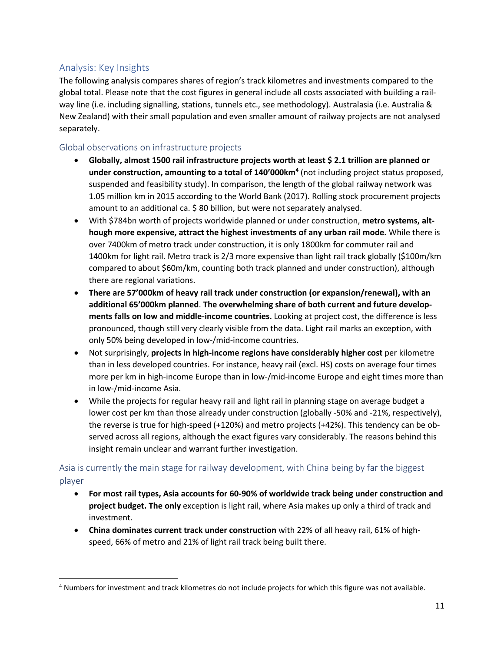## Analysis: Key Insights

 $\overline{a}$ 

The following analysis compares shares of region's track kilometres and investments compared to the global total. Please note that the cost figures in general include all costs associated with building a railway line (i.e. including signalling, stations, tunnels etc., see methodology). Australasia (i.e. Australia & New Zealand) with their small population and even smaller amount of railway projects are not analysed separately.

### Global observations on infrastructure projects

- **Globally, almost 1500 rail infrastructure projects worth at least \$ 2.1 trillion are planned or under construction, amounting to a total of 140'000km<sup>4</sup>** (not including project status proposed, suspended and feasibility study). In comparison, the length of the global railway network was 1.05 million km in 2015 according to the World Bank (2017). Rolling stock procurement projects amount to an additional ca. \$80 billion, but were not separately analysed.
- With \$784bn worth of projects worldwide planned or under construction, **metro systems, although more expensive, attract the highest investments of any urban rail mode.** While there is over 7400km of metro track under construction, it is only 1800km for commuter rail and 1400km for light rail. Metro track is 2/3 more expensive than light rail track globally (\$100m/km compared to about \$60m/km, counting both track planned and under construction), although there are regional variations.
- **There are 57'000km of heavy rail track under construction (or expansion/renewal), with an additional 65'000km planned**. **The overwhelming share of both current and future developments falls on low and middle-income countries.** Looking at project cost, the difference is less pronounced, though still very clearly visible from the data. Light rail marks an exception, with only 50% being developed in low-/mid-income countries.
- Not surprisingly, **projects in high-income regions have considerably higher cost** per kilometre than in less developed countries. For instance, heavy rail (excl. HS) costs on average four times more per km in high-income Europe than in low-/mid-income Europe and eight times more than in low-/mid-income Asia.
- While the projects for regular heavy rail and light rail in planning stage on average budget a lower cost per km than those already under construction (globally -50% and -21%, respectively), the reverse is true for high-speed (+120%) and metro projects (+42%). This tendency can be observed across all regions, although the exact figures vary considerably. The reasons behind this insight remain unclear and warrant further investigation.

## Asia is currently the main stage for railway development, with China being by far the biggest player

- **For most rail types, Asia accounts for 60-90% of worldwide track being under construction and project budget. The only** exception is light rail, where Asia makes up only a third of track and investment.
- **China dominates current track under construction** with 22% of all heavy rail, 61% of highspeed, 66% of metro and 21% of light rail track being built there.

<sup>4</sup> Numbers for investment and track kilometres do not include projects for which this figure was not available.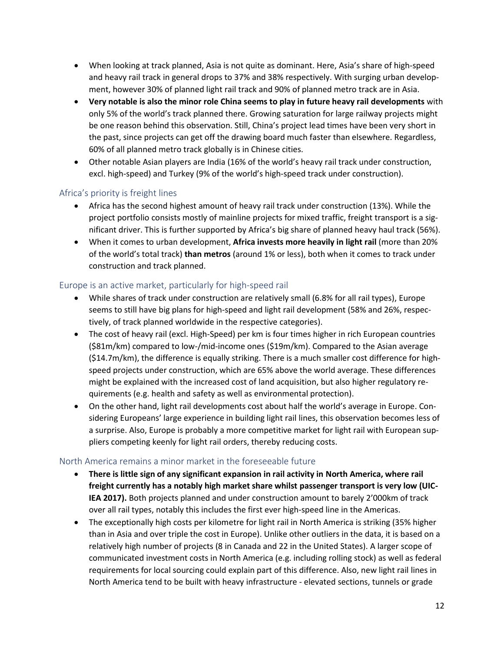- When looking at track planned, Asia is not quite as dominant. Here, Asia's share of high-speed and heavy rail track in general drops to 37% and 38% respectively. With surging urban development, however 30% of planned light rail track and 90% of planned metro track are in Asia.
- **Very notable is also the minor role China seems to play in future heavy rail developments** with only 5% of the world's track planned there. Growing saturation for large railway projects might be one reason behind this observation. Still, China's project lead times have been very short in the past, since projects can get off the drawing board much faster than elsewhere. Regardless, 60% of all planned metro track globally is in Chinese cities.
- Other notable Asian players are India (16% of the world's heavy rail track under construction, excl. high-speed) and Turkey (9% of the world's high-speed track under construction).

## Africa's priority is freight lines

- Africa has the second highest amount of heavy rail track under construction (13%). While the project portfolio consists mostly of mainline projects for mixed traffic, freight transport is a significant driver. This is further supported by Africa's big share of planned heavy haul track (56%).
- When it comes to urban development, **Africa invests more heavily in light rail** (more than 20% of the world's total track) **than metros** (around 1% or less), both when it comes to track under construction and track planned.

### Europe is an active market, particularly for high-speed rail

- While shares of track under construction are relatively small (6.8% for all rail types), Europe seems to still have big plans for high-speed and light rail development (58% and 26%, respectively, of track planned worldwide in the respective categories).
- The cost of heavy rail (excl. High-Speed) per km is four times higher in rich European countries (\$81m/km) compared to low-/mid-income ones (\$19m/km). Compared to the Asian average (\$14.7m/km), the difference is equally striking. There is a much smaller cost difference for highspeed projects under construction, which are 65% above the world average. These differences might be explained with the increased cost of land acquisition, but also higher regulatory requirements (e.g. health and safety as well as environmental protection).
- On the other hand, light rail developments cost about half the world's average in Europe. Considering Europeans' large experience in building light rail lines, this observation becomes less of a surprise. Also, Europe is probably a more competitive market for light rail with European suppliers competing keenly for light rail orders, thereby reducing costs.

### North America remains a minor market in the foreseeable future

- **There is little sign of any significant expansion in rail activity in North America, where rail freight currently has a notably high market share whilst passenger transport is very low (UIC-IEA 2017).** Both projects planned and under construction amount to barely 2'000km of track over all rail types, notably this includes the first ever high-speed line in the Americas.
- The exceptionally high costs per kilometre for light rail in North America is striking (35% higher than in Asia and over triple the cost in Europe). Unlike other outliers in the data, it is based on a relatively high number of projects (8 in Canada and 22 in the United States). A larger scope of communicated investment costs in North America (e.g. including rolling stock) as well as federal requirements for local sourcing could explain part of this difference. Also, new light rail lines in North America tend to be built with heavy infrastructure - elevated sections, tunnels or grade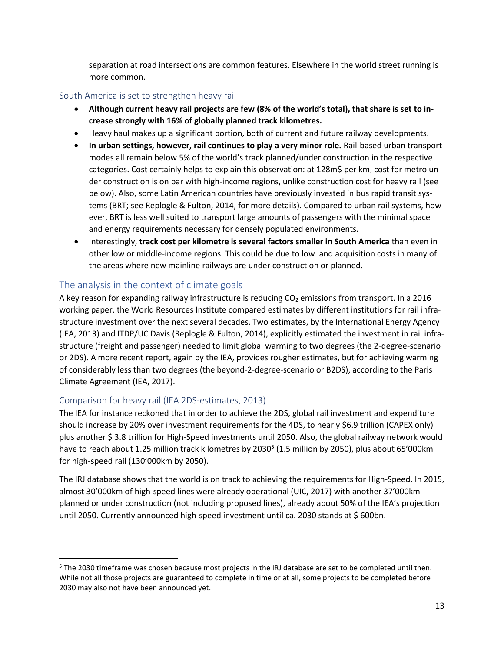separation at road intersections are common features. Elsewhere in the world street running is more common.

#### South America is set to strengthen heavy rail

- **Although current heavy rail projects are few (8% of the world's total), that share is set to increase strongly with 16% of globally planned track kilometres.**
- Heavy haul makes up a significant portion, both of current and future railway developments.
- **In urban settings, however, rail continues to play a very minor role.** Rail-based urban transport modes all remain below 5% of the world's track planned/under construction in the respective categories. Cost certainly helps to explain this observation: at 128m\$ per km, cost for metro under construction is on par with high-income regions, unlike construction cost for heavy rail (see below). Also, some Latin American countries have previously invested in bus rapid transit systems (BRT; see Replogle & Fulton, 2014, for more details). Compared to urban rail systems, however, BRT is less well suited to transport large amounts of passengers with the minimal space and energy requirements necessary for densely populated environments.
- Interestingly, **track cost per kilometre is several factors smaller in South America** than even in other low or middle-income regions. This could be due to low land acquisition costs in many of the areas where new mainline railways are under construction or planned.

## The analysis in the context of climate goals

A key reason for expanding railway infrastructure is reducing  $CO<sub>2</sub>$  emissions from transport. In a 2016 working paper, the World Resources Institute compared estimates by different institutions for rail infrastructure investment over the next several decades. Two estimates, by the International Energy Agency (IEA, 2013) and ITDP/UC Davis (Replogle & Fulton, 2014), explicitly estimated the investment in rail infrastructure (freight and passenger) needed to limit global warming to two degrees (the 2-degree-scenario or 2DS). A more recent report, again by the IEA, provides rougher estimates, but for achieving warming of considerably less than two degrees (the beyond-2-degree-scenario or B2DS), according to the Paris Climate Agreement (IEA, 2017).

### Comparison for heavy rail (IEA 2DS-estimates, 2013)

 $\overline{a}$ 

The IEA for instance reckoned that in order to achieve the 2DS, global rail investment and expenditure should increase by 20% over investment requirements for the 4DS, to nearly \$6.9 trillion (CAPEX only) plus another \$ 3.8 trillion for High-Speed investments until 2050. Also, the global railway network would have to reach about 1.25 million track kilometres by 2030<sup>5</sup> (1.5 million by 2050), plus about 65'000km for high-speed rail (130'000km by 2050).

The IRJ database shows that the world is on track to achieving the requirements for High-Speed. In 2015, almost 30'000km of high-speed lines were already operational (UIC, 2017) with another 37'000km planned or under construction (not including proposed lines), already about 50% of the IEA's projection until 2050. Currently announced high-speed investment until ca. 2030 stands at \$ 600bn.

<sup>5</sup> The 2030 timeframe was chosen because most projects in the IRJ database are set to be completed until then. While not all those projects are guaranteed to complete in time or at all, some projects to be completed before 2030 may also not have been announced yet.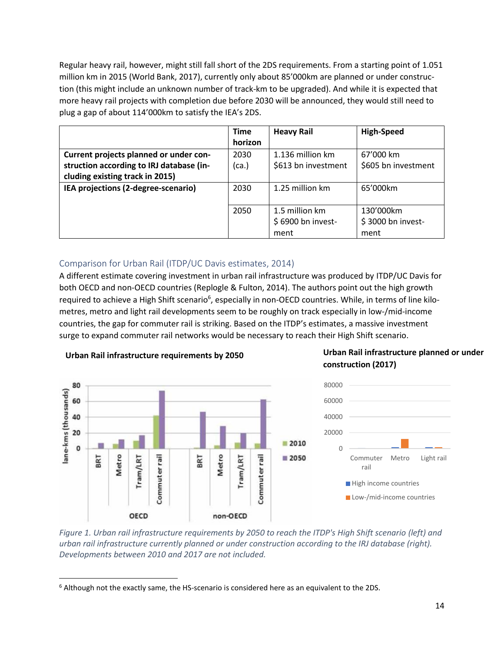Regular heavy rail, however, might still fall short of the 2DS requirements. From a starting point of 1.051 million km in 2015 (World Bank, 2017), currently only about 85'000km are planned or under construction (this might include an unknown number of track-km to be upgraded). And while it is expected that more heavy rail projects with completion due before 2030 will be announced, they would still need to plug a gap of about 114'000km to satisfy the IEA's 2DS.

|                                          | <b>Time</b> | <b>Heavy Rail</b>   | <b>High-Speed</b>   |
|------------------------------------------|-------------|---------------------|---------------------|
|                                          | horizon     |                     |                     |
| Current projects planned or under con-   | 2030        | 1.136 million km    | 67'000 km           |
| struction according to IRJ database (in- | (ca.)       | \$613 bn investment | \$605 bn investment |
| cluding existing track in 2015)          |             |                     |                     |
| IEA projections (2-degree-scenario)      | 2030        | 1.25 million km     | 65'000km            |
|                                          |             |                     |                     |
|                                          | 2050        | 1.5 million km      | 130'000km           |
|                                          |             | \$6900 bn invest-   | \$3000 bn invest-   |
|                                          |             | ment                | ment                |

## Comparison for Urban Rail (ITDP/UC Davis estimates, 2014)

A different estimate covering investment in urban rail infrastructure was produced by ITDP/UC Davis for both OECD and non-OECD countries (Replogle & Fulton, 2014). The authors point out the high growth required to achieve a High Shift scenario<sup>6</sup>, especially in non-OECD countries. While, in terms of line kilometres, metro and light rail developments seem to be roughly on track especially in low-/mid-income countries, the gap for commuter rail is striking. Based on the ITDP's estimates, a massive investment surge to expand commuter rail networks would be necessary to reach their High Shift scenario.



### **Urban Rail infrastructure requirements by 2050**

OECD

 $\overline{a}$ 

## **Urban Rail infrastructure planned or under construction (2017)**



*Figure 1. Urban rail infrastructure requirements by 2050 to reach the ITDP's High Shift scenario (left) and urban rail infrastructure currently planned or under construction according to the IRJ database (right). Developments between 2010 and 2017 are not included.*

non-OECD

<sup>6</sup> Although not the exactly same, the HS-scenario is considered here as an equivalent to the 2DS.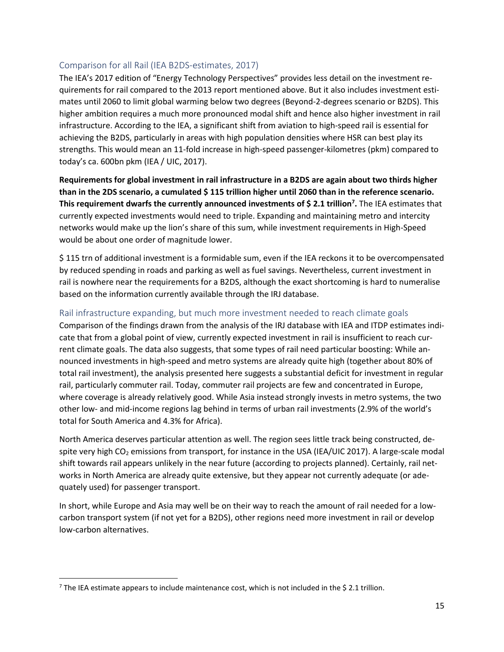### Comparison for all Rail (IEA B2DS-estimates, 2017)

The IEA's 2017 edition of "Energy Technology Perspectives" provides less detail on the investment requirements for rail compared to the 2013 report mentioned above. But it also includes investment estimates until 2060 to limit global warming below two degrees (Beyond-2-degrees scenario or B2DS). This higher ambition requires a much more pronounced modal shift and hence also higher investment in rail infrastructure. According to the IEA, a significant shift from aviation to high-speed rail is essential for achieving the B2DS, particularly in areas with high population densities where HSR can best play its strengths. This would mean an 11-fold increase in high-speed passenger-kilometres (pkm) compared to today's ca. 600bn pkm (IEA / UIC, 2017).

**Requirements for global investment in rail infrastructure in a B2DS are again about two thirds higher than in the 2DS scenario, a cumulated \$ 115 trillion higher until 2060 than in the reference scenario. This requirement dwarfs the currently announced investments of \$ 2.1 trillion<sup>7</sup> .** The IEA estimates that currently expected investments would need to triple. Expanding and maintaining metro and intercity networks would make up the lion's share of this sum, while investment requirements in High-Speed would be about one order of magnitude lower.

\$ 115 trn of additional investment is a formidable sum, even if the IEA reckons it to be overcompensated by reduced spending in roads and parking as well as fuel savings. Nevertheless, current investment in rail is nowhere near the requirements for a B2DS, although the exact shortcoming is hard to numeralise based on the information currently available through the IRJ database.

### Rail infrastructure expanding, but much more investment needed to reach climate goals

Comparison of the findings drawn from the analysis of the IRJ database with IEA and ITDP estimates indicate that from a global point of view, currently expected investment in rail is insufficient to reach current climate goals. The data also suggests, that some types of rail need particular boosting: While announced investments in high-speed and metro systems are already quite high (together about 80% of total rail investment), the analysis presented here suggests a substantial deficit for investment in regular rail, particularly commuter rail. Today, commuter rail projects are few and concentrated in Europe, where coverage is already relatively good. While Asia instead strongly invests in metro systems, the two other low- and mid-income regions lag behind in terms of urban rail investments (2.9% of the world's total for South America and 4.3% for Africa).

North America deserves particular attention as well. The region sees little track being constructed, despite very high  $CO<sub>2</sub>$  emissions from transport, for instance in the USA (IEA/UIC 2017). A large-scale modal shift towards rail appears unlikely in the near future (according to projects planned). Certainly, rail networks in North America are already quite extensive, but they appear not currently adequate (or adequately used) for passenger transport.

In short, while Europe and Asia may well be on their way to reach the amount of rail needed for a lowcarbon transport system (if not yet for a B2DS), other regions need more investment in rail or develop low-carbon alternatives.

 $\overline{a}$ 

 $7$  The IEA estimate appears to include maintenance cost, which is not included in the \$ 2.1 trillion.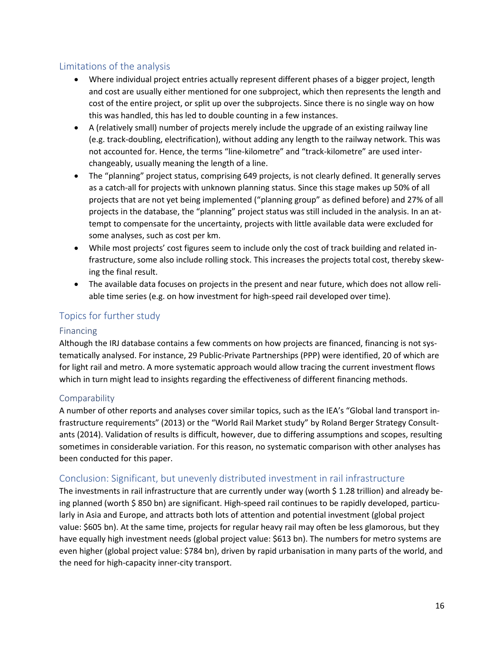## Limitations of the analysis

- Where individual project entries actually represent different phases of a bigger project, length and cost are usually either mentioned for one subproject, which then represents the length and cost of the entire project, or split up over the subprojects. Since there is no single way on how this was handled, this has led to double counting in a few instances.
- A (relatively small) number of projects merely include the upgrade of an existing railway line (e.g. track-doubling, electrification), without adding any length to the railway network. This was not accounted for. Hence, the terms "line-kilometre" and "track-kilometre" are used interchangeably, usually meaning the length of a line.
- The "planning" project status, comprising 649 projects, is not clearly defined. It generally serves as a catch-all for projects with unknown planning status. Since this stage makes up 50% of all projects that are not yet being implemented ("planning group" as defined before) and 27% of all projects in the database, the "planning" project status was still included in the analysis. In an attempt to compensate for the uncertainty, projects with little available data were excluded for some analyses, such as cost per km.
- While most projects' cost figures seem to include only the cost of track building and related infrastructure, some also include rolling stock. This increases the projects total cost, thereby skewing the final result.
- The available data focuses on projects in the present and near future, which does not allow reliable time series (e.g. on how investment for high-speed rail developed over time).

## Topics for further study

## Financing

Although the IRJ database contains a few comments on how projects are financed, financing is not systematically analysed. For instance, 29 Public-Private Partnerships (PPP) were identified, 20 of which are for light rail and metro. A more systematic approach would allow tracing the current investment flows which in turn might lead to insights regarding the effectiveness of different financing methods.

## Comparability

A number of other reports and analyses cover similar topics, such as the IEA's "Global land transport infrastructure requirements" (2013) or the "World Rail Market study" by Roland Berger Strategy Consultants (2014). Validation of results is difficult, however, due to differing assumptions and scopes, resulting sometimes in considerable variation. For this reason, no systematic comparison with other analyses has been conducted for this paper.

## Conclusion: Significant, but unevenly distributed investment in rail infrastructure

The investments in rail infrastructure that are currently under way (worth \$1.28 trillion) and already being planned (worth \$850 bn) are significant. High-speed rail continues to be rapidly developed, particularly in Asia and Europe, and attracts both lots of attention and potential investment (global project value: \$605 bn). At the same time, projects for regular heavy rail may often be less glamorous, but they have equally high investment needs (global project value: \$613 bn). The numbers for metro systems are even higher (global project value: \$784 bn), driven by rapid urbanisation in many parts of the world, and the need for high-capacity inner-city transport.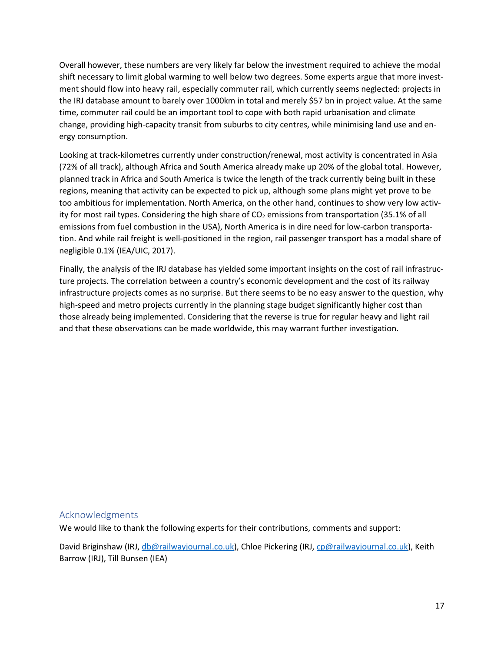Overall however, these numbers are very likely far below the investment required to achieve the modal shift necessary to limit global warming to well below two degrees. Some experts argue that more investment should flow into heavy rail, especially commuter rail, which currently seems neglected: projects in the IRJ database amount to barely over 1000km in total and merely \$57 bn in project value. At the same time, commuter rail could be an important tool to cope with both rapid urbanisation and climate change, providing high-capacity transit from suburbs to city centres, while minimising land use and energy consumption.

Looking at track-kilometres currently under construction/renewal, most activity is concentrated in Asia (72% of all track), although Africa and South America already make up 20% of the global total. However, planned track in Africa and South America is twice the length of the track currently being built in these regions, meaning that activity can be expected to pick up, although some plans might yet prove to be too ambitious for implementation. North America, on the other hand, continues to show very low activity for most rail types. Considering the high share of  $CO<sub>2</sub>$  emissions from transportation (35.1% of all emissions from fuel combustion in the USA), North America is in dire need for low-carbon transportation. And while rail freight is well-positioned in the region, rail passenger transport has a modal share of negligible 0.1% (IEA/UIC, 2017).

Finally, the analysis of the IRJ database has yielded some important insights on the cost of rail infrastructure projects. The correlation between a country's economic development and the cost of its railway infrastructure projects comes as no surprise. But there seems to be no easy answer to the question, why high-speed and metro projects currently in the planning stage budget significantly higher cost than those already being implemented. Considering that the reverse is true for regular heavy and light rail and that these observations can be made worldwide, this may warrant further investigation.

### Acknowledgments

We would like to thank the following experts for their contributions, comments and support:

David Briginshaw (IRJ, [db@railwayjournal.co.uk\)](mailto:db@railwayjournal.co.uk), Chloe Pickering (IRJ[, cp@railwayjournal.co.uk\)](mailto:cp@railwayjournal.co.uk), Keith Barrow (IRJ), Till Bunsen (IEA)